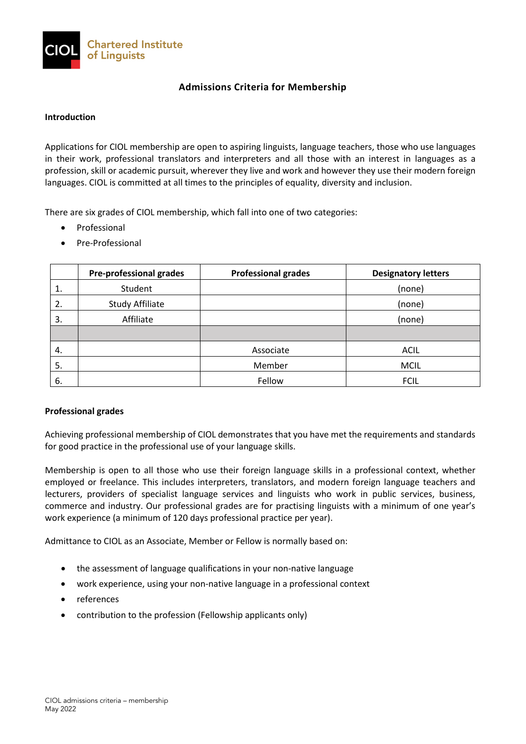

# **Admissions Criteria for Membership**

#### **Introduction**

Applications for CIOL membership are open to aspiring linguists, language teachers, those who use languages in their work, professional translators and interpreters and all those with an interest in languages as a profession, skill or academic pursuit, wherever they live and work and however they use their modern foreign languages. CIOL is committed at all times to the principles of equality, diversity and inclusion.

There are six grades of CIOL membership, which fall into one of two categories:

- Professional
- Pre-Professional

|    | <b>Pre-professional grades</b> | <b>Professional grades</b> | <b>Designatory letters</b> |
|----|--------------------------------|----------------------------|----------------------------|
| 1. | Student                        |                            | (none)                     |
| 2. | <b>Study Affiliate</b>         |                            | (none)                     |
| 3. | Affiliate                      |                            | (none)                     |
|    |                                |                            |                            |
| 4. |                                | Associate                  | <b>ACIL</b>                |
| 5. |                                | Member                     | <b>MCIL</b>                |
| 6. |                                | Fellow                     | <b>FCIL</b>                |

### **Professional grades**

Achieving professional membership of CIOL demonstrates that you have met the requirements and standards for good practice in the professional use of your language skills.

Membership is open to all those who use their foreign language skills in a professional context, whether employed or freelance. This includes interpreters, translators, and modern foreign language teachers and lecturers, providers of specialist language services and linguists who work in public services, business, commerce and industry. Our professional grades are for practising linguists with a minimum of one year's work experience (a minimum of 120 days professional practice per year).

Admittance to CIOL as an Associate, Member or Fellow is normally based on:

- the assessment of language qualifications in your non-native language
- work experience, using your non-native language in a professional context
- references
- contribution to the profession (Fellowship applicants only)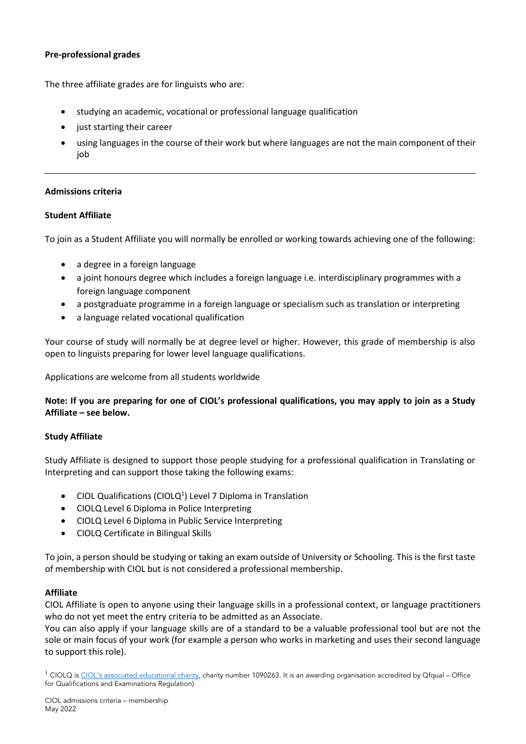## **Pre-professional grades**

The three affiliate grades are for linguists who are:

- studying an academic, vocational or professional language qualification
- just starting their career
- using languages in the course of their work but where languages are not the main component of their job

### **Admissions criteria**

## **Student Affiliate**

To join as a Student Affiliate you will normally be enrolled or working towards achieving one of the following:

- a degree in a foreign language
- a joint honours degree which includes a foreign language i.e. interdisciplinary programmes with a foreign language component
- a postgraduate programme in a foreign language or specialism such as translation or interpreting
- a language related vocational qualification

Your course of study will normally be at degree level or higher. However, this grade of membership is also open to linguists preparing for lower level language qualifications.

Applications are welcome from all students worldwide

## **Note: If you are preparing for one of CIOL's professional qualifications, you may apply to join as a Study Affiliate – see below.**

### **Study Affiliate**

Study Affiliate is designed to support those people studying for a professional qualification in Translating or Interpreting and can support those taking the following exams:

- CIOL Qualifications (CIOLQ<sup>1</sup>) Level 7 Diploma in Translation
- CIOLQ Level 6 Diploma in Police Interpreting
- CIOLQ Level 6 Diploma in Public Service Interpreting
- CIOLQ Certificate in Bilingual Skills

To join, a person should be studying or taking an exam outside of University or Schooling. This is the first taste of membership with CIOL but is not considered a professional membership.

### **Affiliate**

CIOL Affiliate is open to anyone using their language skills in a professional context, or language practitioners who do not yet meet the entry criteria to be admitted as an Associate.

You can also apply if your language skills are of a standard to be a valuable professional tool but are not the sole or main focus of your work (for example a person who works in marketing and uses their second language to support this role).

 $^1$  CIOLQ i[s CIOL's associated educational charity,](http://www.ciol.org.uk/iolet-governance) charity number 1090263. It is an awarding organisation accredited by Qfqual – Office for Qualifications and Examinations Regulation).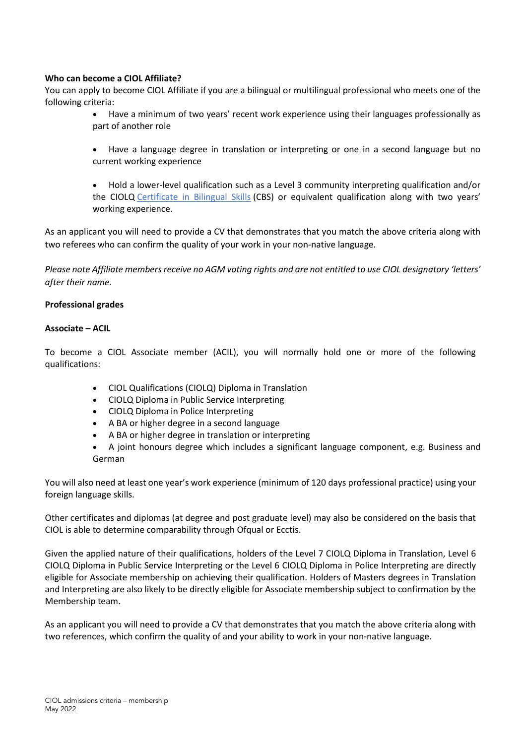### **Who can become a CIOL Affiliate?**

You can apply to become CIOL Affiliate if you are a bilingual or multilingual professional who meets one of the following criteria:

- Have a minimum of two years' recent work experience using their languages professionally as part of another role
- Have a language degree in translation or interpreting or one in a second language but no current working experience
- Hold a lower-level qualification such as a Level 3 community interpreting qualification and/or the CIOLQ [Certificate in Bilingual Skills](https://www.ciol.org.uk/cbs) (CBS) or equivalent qualification along with two years' working experience.

As an applicant you will need to provide a CV that demonstrates that you match the above criteria along with two referees who can confirm the quality of your work in your non-native language.

*Please note Affiliate members receive no AGM voting rights and are not entitled to use CIOL designatory 'letters' after their name.* 

## **Professional grades**

## **Associate – ACIL**

To become a CIOL Associate member (ACIL), you will normally hold one or more of the following qualifications:

- CIOL Qualifications (CIOLQ) Diploma in Translation
- CIOLQ Diploma in Public Service Interpreting
- CIOLQ Diploma in Police Interpreting
- A BA or higher degree in a second language
- A BA or higher degree in translation or interpreting
- A joint honours degree which includes a significant language component, e.g. Business and German

You will also need at least one year's work experience (minimum of 120 days professional practice) using your foreign language skills.

Other certificates and diplomas (at degree and post graduate level) may also be considered on the basis that CIOL is able to determine comparability through Ofqual or Ecctis.

Given the applied nature of their qualifications, holders of the Level 7 CIOLQ Diploma in Translation, Level 6 CIOLQ Diploma in Public Service Interpreting or the Level 6 CIOLQ Diploma in Police Interpreting are directly eligible for Associate membership on achieving their qualification. Holders of Masters degrees in Translation and Interpreting are also likely to be directly eligible for Associate membership subject to confirmation by the Membership team.

As an applicant you will need to provide a CV that demonstrates that you match the above criteria along with two references, which confirm the quality of and your ability to work in your non-native language.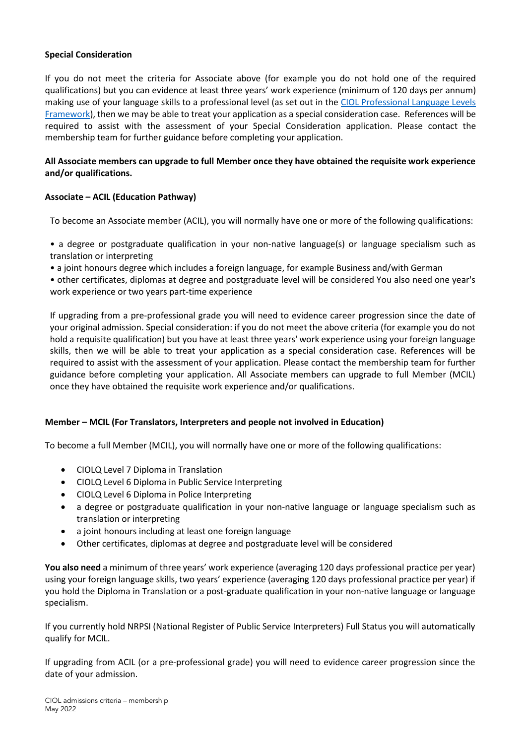## **Special Consideration**

If you do not meet the criteria for Associate above (for example you do not hold one of the required qualifications) but you can evidence at least three years' work experience (minimum of 120 days per annum) making use of your language skills to a professional level (as set out in the CIOL Professional Language Levels [Framework\)](https://www.ciol.org.uk/language-level-frameworks), then we may be able to treat your application as a special consideration case. References will be required to assist with the assessment of your Special Consideration application. Please contact the membership team for further guidance before completing your application.

## **All Associate members can upgrade to full Member once they have obtained the requisite work experience and/or qualifications.**

## **Associate – ACIL (Education Pathway)**

To become an Associate member (ACIL), you will normally have one or more of the following qualifications:

• a degree or postgraduate qualification in your non-native language(s) or language specialism such as translation or interpreting

• a joint honours degree which includes a foreign language, for example Business and/with German

• other certificates, diplomas at degree and postgraduate level will be considered You also need one year's work experience or two years part-time experience

If upgrading from a pre-professional grade you will need to evidence career progression since the date of your original admission. Special consideration: if you do not meet the above criteria (for example you do not hold a requisite qualification) but you have at least three years' work experience using your foreign language skills, then we will be able to treat your application as a special consideration case. References will be required to assist with the assessment of your application. Please contact the membership team for further guidance before completing your application. All Associate members can upgrade to full Member (MCIL) once they have obtained the requisite work experience and/or qualifications.

## **Member – MCIL (For Translators, Interpreters and people not involved in Education)**

To become a full Member (MCIL), you will normally have one or more of the following qualifications:

- CIOLQ Level 7 Diploma in Translation
- CIOLQ Level 6 Diploma in Public Service Interpreting
- CIOLQ Level 6 Diploma in Police Interpreting
- a degree or postgraduate qualification in your non-native language or language specialism such as translation or interpreting
- a joint honours including at least one foreign language
- Other certificates, diplomas at degree and postgraduate level will be considered

**You also need** a minimum of three years' work experience (averaging 120 days professional practice per year) using your foreign language skills, two years' experience (averaging 120 days professional practice per year) if you hold the Diploma in Translation or a post-graduate qualification in your non-native language or language specialism.

If you currently hold NRPSI (National Register of Public Service Interpreters) Full Status you will automatically qualify for MCIL.

If upgrading from ACIL (or a pre-professional grade) you will need to evidence career progression since the date of your admission.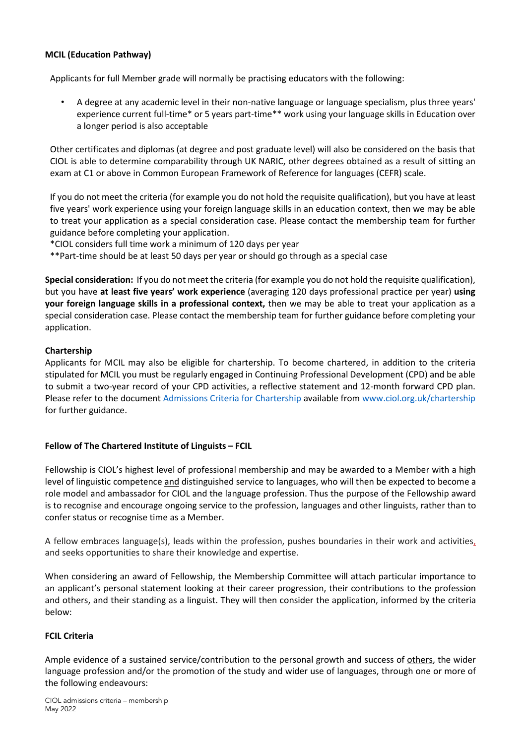## **MCIL (Education Pathway)**

Applicants for full Member grade will normally be practising educators with the following:

• A degree at any academic level in their non-native language or language specialism, plus three years' experience current full-time\* or 5 years part-time\*\* work using your language skills in Education over a longer period is also acceptable

Other certificates and diplomas (at degree and post graduate level) will also be considered on the basis that CIOL is able to determine comparability through UK NARIC, other degrees obtained as a result of sitting an exam at C1 or above in Common European Framework of Reference for languages (CEFR) scale.

If you do not meet the criteria (for example you do not hold the requisite qualification), but you have at least five years' work experience using your foreign language skills in an education context, then we may be able to treat your application as a special consideration case. Please contact the membership team for further guidance before completing your application.

\*CIOL considers full time work a minimum of 120 days per year

\*\*Part-time should be at least 50 days per year or should go through as a special case

**Special consideration:** If you do not meet the criteria (for example you do not hold the requisite qualification), but you have **at least five years' work experience** (averaging 120 days professional practice per year) **using your foreign language skills in a professional context,** then we may be able to treat your application as a special consideration case. Please contact the membership team for further guidance before completing your application.

## **Chartership**

Applicants for MCIL may also be eligible for chartership. To become chartered, in addition to the criteria stipulated for MCIL you must be regularly engaged in Continuing Professional Development (CPD) and be able to submit a two-year record of your CPD activities, a reflective statement and 12-month forward CPD plan. Please refer to the document [Admissions Criteria for Chartership](http://www.ciol.org.uk/sites/default/files/Admissions-criteria-CL.pdf) available from [www.ciol.org.uk/chartership](http://www.ciol.org.uk/chartership) for further guidance.

## **Fellow of The Chartered Institute of Linguists – FCIL**

Fellowship is CIOL's highest level of professional membership and may be awarded to a Member with a high level of linguistic competence and distinguished service to languages, who will then be expected to become a role model and ambassador for CIOL and the language profession. Thus the purpose of the Fellowship award is to recognise and encourage ongoing service to the profession, languages and other linguists, rather than to confer status or recognise time as a Member.

A fellow embraces language(s), leads within the profession, pushes boundaries in their work and activities, and seeks opportunities to share their knowledge and expertise.

When considering an award of Fellowship, the Membership Committee will attach particular importance to an applicant's personal statement looking at their career progression, their contributions to the profession and others, and their standing as a linguist. They will then consider the application, informed by the criteria below:

### **FCIL Criteria**

Ample evidence of a sustained service/contribution to the personal growth and success of others, the wider language profession and/or the promotion of the study and wider use of languages, through one or more of the following endeavours: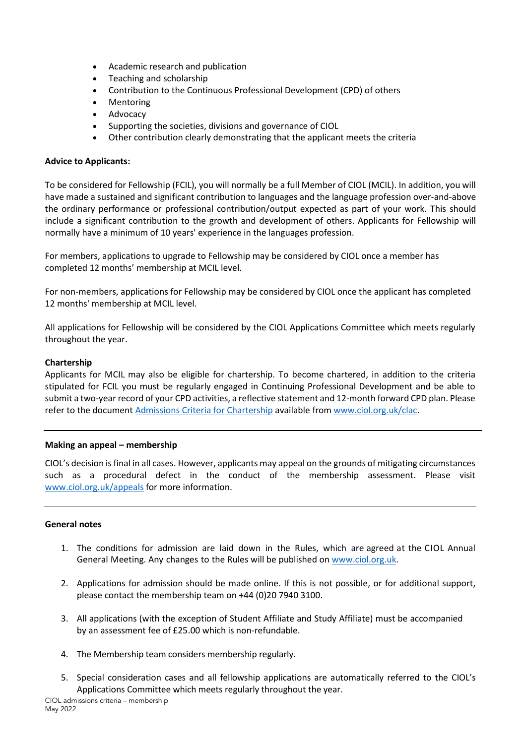- Academic research and publication
- Teaching and scholarship
- Contribution to the Continuous Professional Development (CPD) of others
- Mentoring
- Advocacy
- Supporting the societies, divisions and governance of CIOL
- Other contribution clearly demonstrating that the applicant meets the criteria

#### **Advice to Applicants:**

To be considered for Fellowship (FCIL), you will normally be a full Member of CIOL (MCIL). In addition, you will have made a sustained and significant contribution to languages and the language profession over-and-above the ordinary performance or professional contribution/output expected as part of your work. This should include a significant contribution to the growth and development of others. Applicants for Fellowship will normally have a minimum of 10 years' experience in the languages profession.

For members, applications to upgrade to Fellowship may be considered by CIOL once a member has completed 12 months' membership at MCIL level.

For non-members, applications for Fellowship may be considered by CIOL once the applicant has completed 12 months' membership at MCIL level.

All applications for Fellowship will be considered by the CIOL Applications Committee which meets regularly throughout the year.

### **Chartership**

Applicants for MCIL may also be eligible for chartership. To become chartered, in addition to the criteria stipulated for FCIL you must be regularly engaged in Continuing Professional Development and be able to submit a two-year record of your CPD activities, a reflective statement and 12-month forward CPD plan. Please refer to the document [Admissions Criteria for Chartership](http://www.ciol.org.uk/sites/default/files/Admissions-criteria-CL.pdf) available from [www.ciol.org.uk/clac.](http://www.ciol.org.uk/clac)

#### **Making an appeal – membership**

CIOL's decision is final in all cases. However, applicants may appeal on the grounds of mitigating circumstances such as a procedural defect in the conduct of the membership assessment. Please visit [www.ciol.org.uk/appeals](http://www.ciol.org.uk/appeals) for more information.

### **General notes**

- 1. The conditions for admission are laid down in the Rules, which are agreed at the CIOL Annual General Meeting. Any changes to the Rules will be published on [www.ciol.org.uk.](http://www.ciol.org.uk/)
- 2. Applications for admission should be made online. If this is not possible, or for additional support, please contact the membership team on +44 (0)20 7940 3100.
- 3. All applications (with the exception of Student Affiliate and Study Affiliate) must be accompanied by an assessment fee of £25.00 which is non-refundable.
- 4. The Membership team considers membership regularly.
- 5. Special consideration cases and all fellowship applications are automatically referred to the CIOL's Applications Committee which meets regularly throughout the year.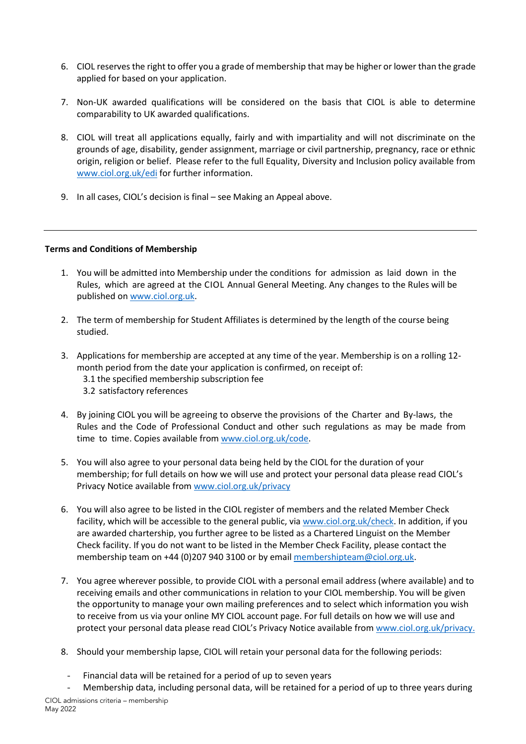- 6. CIOL reserves the right to offer you a grade of membership that may be higher or lower than the grade applied for based on your application.
- 7. Non-UK awarded qualifications will be considered on the basis that CIOL is able to determine comparability to UK awarded qualifications.
- 8. CIOL will treat all applications equally, fairly and with impartiality and will not discriminate on the grounds of age, disability, gender assignment, marriage or civil partnership, pregnancy, race or ethnic origin, religion or belief. Please refer to the full Equality, Diversity and Inclusion policy available from [www.ciol.org.uk/edi](http://www.ciol.org.uk/edi) for further information.
- 9. In all cases, CIOL's decision is final see Making an Appeal above.

### **Terms and Conditions of Membership**

- 1. You will be admitted into Membership under the conditions for admission as laid down in the Rules, which are agreed at the CIOL Annual General Meeting. Any changes to the Rules will be published on [www.ciol.org.uk.](http://www.ciol.org.uk/)
- 2. The term of membership for Student Affiliates is determined by the length of the course being studied.
- 3. Applications for membership are accepted at any time of the year. Membership is on a rolling 12 month period from the date your application is confirmed, on receipt of: 3.1 the specified membership subscription fee 3.2 satisfactory references
- 4. By joining CIOL you will be agreeing to observe the provisions of the Charter and By-laws, the Rules and the Code of Professional Conduct and other such regulations as may be made from time to time. Copies available from [www.ciol.org.uk/code.](http://www.ciol.org.uk/code)
- 5. You will also agree to your personal data being held by the CIOL for the duration of your membership; for full details on how we will use and protect your personal data please read CIOL's Privacy Notice available fro[m www.ciol.org.uk/privacy](http://www.ciol.org.uk/privacy)
- 6. You will also agree to be listed in the CIOL register of members and the related Member Check facility, which will be accessible to the general public, via [www.ciol.org.uk/check.](http://www.ciol.org.uk/check) In addition, if you are awarded chartership, you further agree to be listed as a Chartered Linguist on the Member Check facility. If you do not want to be listed in the Member Check Facility, please contact the membership team on +44 (0)207 940 3100 or by email [membershipteam@ciol.org.uk.](mailto:membershipteam@ciol.org.uk)
- 7. You agree wherever possible, to provide CIOL with a personal email address (where available) and to receiving emails and other communications in relation to your CIOL membership. You will be given the opportunity to manage your own mailing preferences and to select which information you wish to receive from us via your online MY CIOL account page. For full details on how we will use and protect your personal data please read CIOL's Privacy Notice available from [www.ciol.org.uk/privacy.](http://www.ciol.org.uk/privacy)
- 8. Should your membership lapse, CIOL will retain your personal data for the following periods:
- Financial data will be retained for a period of up to seven years
- Membership data, including personal data, will be retained for a period of up to three years during